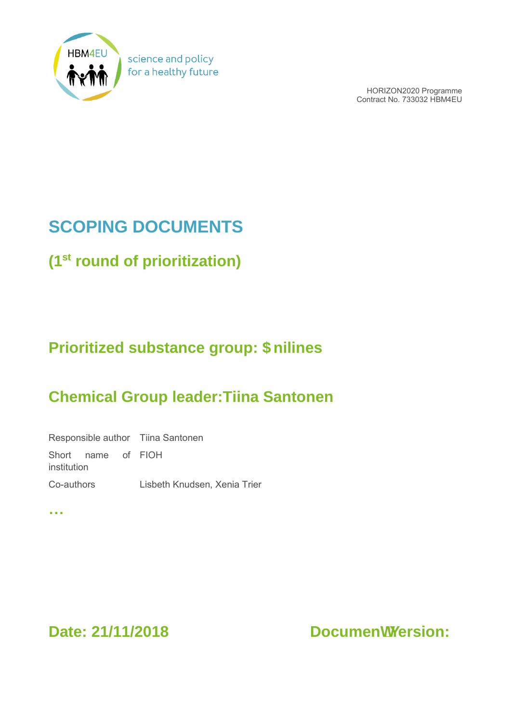

science and policy for a healthy future

> HORIZON2020 Programme Contract No. 733032 HBM4EU

# **SCOPING DOCUMENTS**

**(1st round of prioritization)**

### **Prioritized substance group: \$nilines**

### **Chemical Group leader:Tiina Santonen**

Responsible author Tiina Santonen Short name of FIOH institution Co-authors Lisbeth Knudsen, Xenia Trier

**…**

Date: 21/11/2018 Documenhj ersion: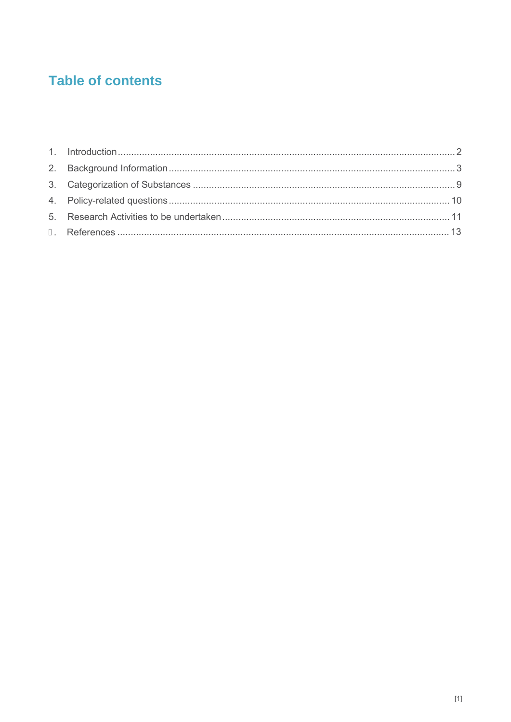### **Table of contents**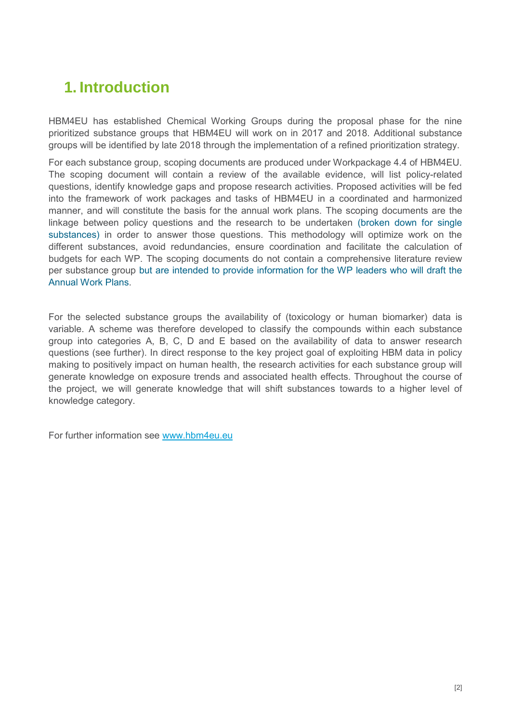### <span id="page-2-0"></span>**1. Introduction**

HBM4EU has established Chemical Working Groups during the proposal phase for the nine prioritized substance groups that HBM4EU will work on in 2017 and 2018. Additional substance groups will be identified by late 2018 through the implementation of a refined prioritization strategy.

For each substance group, scoping documents are produced under Workpackage 4.4 of HBM4EU. The scoping document will contain a review of the available evidence, will list policy-related questions, identify knowledge gaps and propose research activities. Proposed activities will be fed into the framework of work packages and tasks of HBM4EU in a coordinated and harmonized manner, and will constitute the basis for the annual work plans. The scoping documents are the linkage between policy questions and the research to be undertaken (broken down for single substances) in order to answer those questions. This methodology will optimize work on the different substances, avoid redundancies, ensure coordination and facilitate the calculation of budgets for each WP. The scoping documents do not contain a comprehensive literature review per substance group but are intended to provide information for the WP leaders who will draft the Annual Work Plans.

For the selected substance groups the availability of (toxicology or human biomarker) data is variable. A scheme was therefore developed to classify the compounds within each substance group into categories A, B, C, D and E based on the availability of data to answer research questions (see further). In direct response to the key project goal of exploiting HBM data in policy making to positively impact on human health, the research activities for each substance group will generate knowledge on exposure trends and associated health effects. Throughout the course of the project, we will generate knowledge that will shift substances towards to a higher level of knowledge category.

For further information see [www.hbm4eu.eu](http://www.hbm4eu.eu/)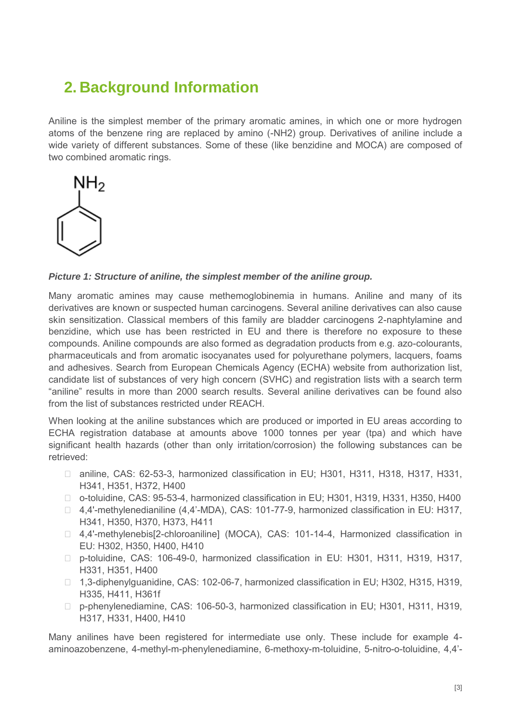### <span id="page-3-0"></span>**2. Background Information**

Aniline is the simplest member of the primary aromatic amines, in which one or more hydrogen atoms of the benzene ring are replaced by amino (-NH2) group. Derivatives of aniline include a wide variety of different substances. Some of these (like benzidine and MOCA) are composed of two combined aromatic rings.



#### *Picture 1: Structure of aniline, the simplest member of the aniline group.*

Many aromatic amines may cause methemoglobinemia in humans. Aniline and many of its derivatives are known or suspected human carcinogens. Several aniline derivatives can also cause skin sensitization. Classical members of this family are bladder carcinogens 2-naphtylamine and benzidine, which use has been restricted in EU and there is therefore no exposure to these compounds. Aniline compounds are also formed as degradation products from e.g. azo-colourants, pharmaceuticals and from aromatic isocyanates used for polyurethane polymers, lacquers, foams and adhesives. Search from European Chemicals Agency (ECHA) website from authorization list, candidate list of substances of very high concern (SVHC) and registration lists with a search term "aniline" results in more than 2000 search results. Several aniline derivatives can be found also from the list of substances restricted under REACH.

When looking at the aniline substances which are produced or imported in EU areas according to ECHA registration database at amounts above 1000 tonnes per year (tpa) and which have significant health hazards (other than only irritation/corrosion) the following substances can be retrieved:

- $\Box$  aniline, CAS: 62-53-3, harmonized classification in EU; H301, H311, H318, H317, H331, H341, H351, H372, H400
- □ o-toluidine, CAS: 95-53-4, harmonized classification in EU; H301, H319, H331, H350, H400
- □ 4,4'-methylenedianiline (4,4'-MDA), CAS: 101-77-9, harmonized classification in EU: H317, H341, H350, H370, H373, H411
- □ 4,4'-methylenebis[2-chloroaniline] (MOCA), CAS: 101-14-4, Harmonized classification in EU: H302, H350, H400, H410
- □ p-toluidine, CAS: 106-49-0, harmonized classification in EU: H301, H311, H319, H317, H331, H351, H400
- □ 1,3-diphenylguanidine, CAS: 102-06-7, harmonized classification in EU; H302, H315, H319, H335, H411, H361f
- □ p-phenylenediamine, CAS: 106-50-3, harmonized classification in EU; H301, H311, H319, H317, H331, H400, H410

Many anilines have been registered for intermediate use only. These include for example 4 aminoazobenzene, 4-methyl-m-phenylenediamine, 6-methoxy-m-toluidine, 5-nitro-o-toluidine, 4,4'-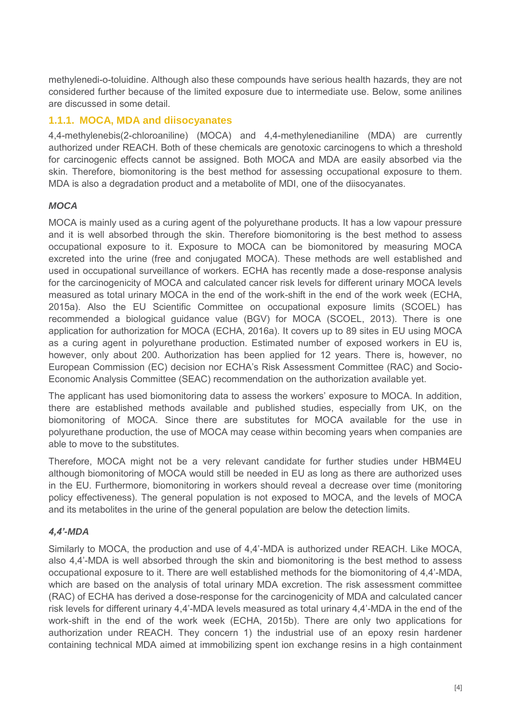methylenedi-o-toluidine. Although also these compounds have serious health hazards, they are not considered further because of the limited exposure due to intermediate use. Below, some anilines are discussed in some detail.

#### **1.1.1. MOCA, MDA and diisocyanates**

4,4-methylenebis(2-chloroaniline) (MOCA) and 4,4-methylenedianiline (MDA) are currently authorized under REACH. Both of these chemicals are genotoxic carcinogens to which a threshold for carcinogenic effects cannot be assigned. Both MOCA and MDA are easily absorbed via the skin. Therefore, biomonitoring is the best method for assessing occupational exposure to them. MDA is also a degradation product and a metabolite of MDI, one of the diisocyanates.

#### *MOCA*

MOCA is mainly used as a curing agent of the polyurethane products. It has a low vapour pressure and it is well absorbed through the skin. Therefore biomonitoring is the best method to assess occupational exposure to it. Exposure to MOCA can be biomonitored by measuring MOCA excreted into the urine (free and conjugated MOCA). These methods are well established and used in occupational surveillance of workers. ECHA has recently made a dose-response analysis for the carcinogenicity of MOCA and calculated cancer risk levels for different urinary MOCA levels measured as total urinary MOCA in the end of the work-shift in the end of the work week (ECHA, 2015a). Also the EU Scientific Committee on occupational exposure limits (SCOEL) has recommended a biological guidance value (BGV) for MOCA (SCOEL, 2013). There is one application for authorization for MOCA (ECHA, 2016a). It covers up to 89 sites in EU using MOCA as a curing agent in polyurethane production. Estimated number of exposed workers in EU is, however, only about 200. Authorization has been applied for 12 years. There is, however, no European Commission (EC) decision nor ECHA's Risk Assessment Committee (RAC) and Socio-Economic Analysis Committee (SEAC) recommendation on the authorization available yet.

The applicant has used biomonitoring data to assess the workers' exposure to MOCA. In addition, there are established methods available and published studies, especially from UK, on the biomonitoring of MOCA. Since there are substitutes for MOCA available for the use in polyurethane production, the use of MOCA may cease within becoming years when companies are able to move to the substitutes.

Therefore, MOCA might not be a very relevant candidate for further studies under HBM4EU although biomonitoring of MOCA would still be needed in EU as long as there are authorized uses in the EU. Furthermore, biomonitoring in workers should reveal a decrease over time (monitoring policy effectiveness). The general population is not exposed to MOCA, and the levels of MOCA and its metabolites in the urine of the general population are below the detection limits.

#### *4,4'-MDA*

Similarly to MOCA, the production and use of 4,4'-MDA is authorized under REACH. Like MOCA, also 4,4'-MDA is well absorbed through the skin and biomonitoring is the best method to assess occupational exposure to it. There are well established methods for the biomonitoring of 4,4'-MDA, which are based on the analysis of total urinary MDA excretion. The risk assessment committee (RAC) of ECHA has derived a dose-response for the carcinogenicity of MDA and calculated cancer risk levels for different urinary 4,4'-MDA levels measured as total urinary 4,4'-MDA in the end of the work-shift in the end of the work week (ECHA, 2015b). There are only two applications for authorization under REACH. They concern 1) the industrial use of an epoxy resin hardener containing technical MDA aimed at immobilizing spent ion exchange resins in a high containment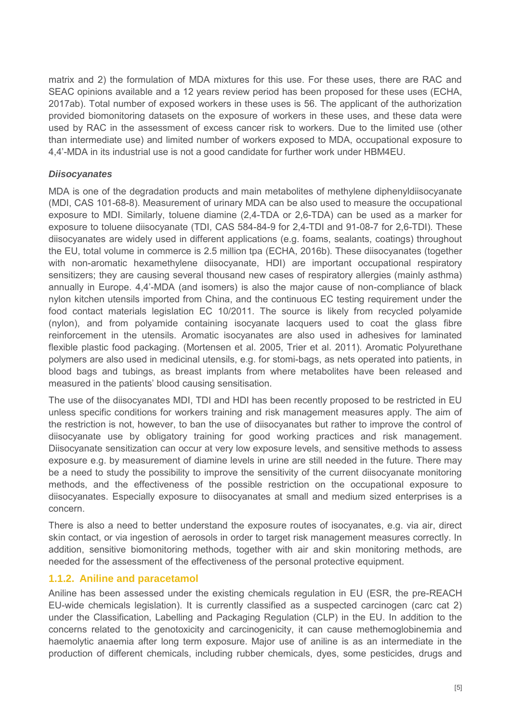matrix and 2) the formulation of MDA mixtures for this use. For these uses, there are RAC and SEAC opinions available and a 12 years review period has been proposed for these uses (ECHA, 2017ab). Total number of exposed workers in these uses is 56. The applicant of the authorization provided biomonitoring datasets on the exposure of workers in these uses, and these data were used by RAC in the assessment of excess cancer risk to workers. Due to the limited use (other than intermediate use) and limited number of workers exposed to MDA, occupational exposure to 4,4'-MDA in its industrial use is not a good candidate for further work under HBM4EU.

#### *Diisocyanates*

MDA is one of the degradation products and main metabolites of methylene diphenyldiisocyanate (MDI, CAS 101-68-8). Measurement of urinary MDA can be also used to measure the occupational exposure to MDI. Similarly, toluene diamine (2,4-TDA or 2,6-TDA) can be used as a marker for exposure to toluene diisocyanate (TDI, CAS 584-84-9 for 2,4-TDI and 91-08-7 for 2,6-TDI). These diisocyanates are widely used in different applications (e.g. foams, sealants, coatings) throughout the EU, total volume in commerce is 2.5 million tpa (ECHA, 2016b). These diisocyanates (together with non-aromatic hexamethylene diisocyanate, HDI) are important occupational respiratory sensitizers; they are causing several thousand new cases of respiratory allergies (mainly asthma) annually in Europe. 4,4'-MDA (and isomers) is also the major cause of non-compliance of black nylon kitchen utensils imported from China, and the continuous EC testing requirement under the food contact materials legislation EC 10/2011. The source is likely from recycled polyamide (nylon), and from polyamide containing isocyanate lacquers used to coat the glass fibre reinforcement in the utensils. Aromatic isocyanates are also used in adhesives for laminated flexible plastic food packaging. (Mortensen et al. 2005, Trier et al. 2011). Aromatic Polyurethane polymers are also used in medicinal utensils, e.g. for stomi-bags, as nets operated into patients, in blood bags and tubings, as breast implants from where metabolites have been released and measured in the patients' blood causing sensitisation.

The use of the diisocyanates MDI, TDI and HDI has been recently proposed to be restricted in EU unless specific conditions for workers training and risk management measures apply. The aim of the restriction is not, however, to ban the use of diisocyanates but rather to improve the control of diisocyanate use by obligatory training for good working practices and risk management. Diisocyanate sensitization can occur at very low exposure levels, and sensitive methods to assess exposure e.g. by measurement of diamine levels in urine are still needed in the future. There may be a need to study the possibility to improve the sensitivity of the current diisocyanate monitoring methods, and the effectiveness of the possible restriction on the occupational exposure to diisocyanates. Especially exposure to diisocyanates at small and medium sized enterprises is a concern.

There is also a need to better understand the exposure routes of isocyanates, e.g. via air, direct skin contact, or via ingestion of aerosols in order to target risk management measures correctly. In addition, sensitive biomonitoring methods, together with air and skin monitoring methods, are needed for the assessment of the effectiveness of the personal protective equipment.

#### **1.1.2. Aniline and paracetamol**

Aniline has been assessed under the existing chemicals regulation in EU (ESR, the pre-REACH EU-wide chemicals legislation). It is currently classified as a suspected carcinogen (carc cat 2) under the Classification, Labelling and Packaging Regulation (CLP) in the EU. In addition to the concerns related to the genotoxicity and carcinogenicity, it can cause methemoglobinemia and haemolytic anaemia after long term exposure. Major use of aniline is as an intermediate in the production of different chemicals, including rubber chemicals, dyes, some pesticides, drugs and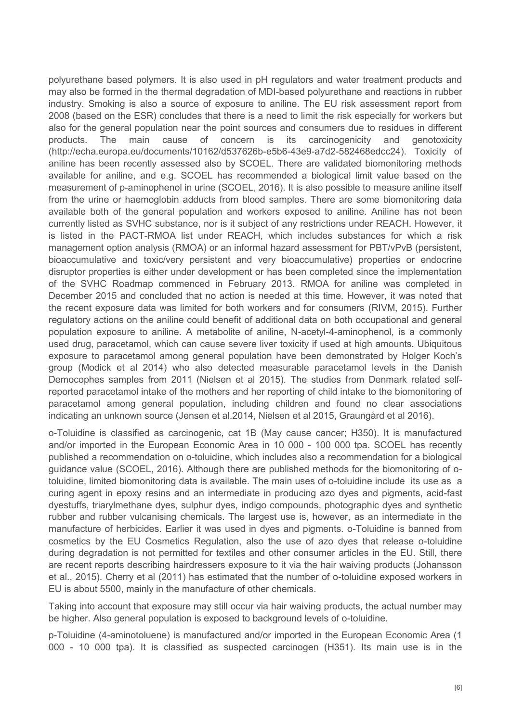polyurethane based polymers. It is also used in pH regulators and water treatment products and may also be formed in the thermal degradation of MDI-based polyurethane and reactions in rubber industry. Smoking is also a source of exposure to aniline. The EU risk assessment report from 2008 (based on the ESR) concludes that there is a need to limit the risk especially for workers but also for the general population near the point sources and consumers due to residues in different products. The main cause of concern is its carcinogenicity and genotoxicity (http://echa.europa.eu/documents/10162/d537626b-e5b6-43e9-a7d2-582468edcc24). Toxicity of aniline has been recently assessed also by SCOEL. There are validated biomonitoring methods available for aniline, and e.g. SCOEL has recommended a biological limit value based on the measurement of p-aminophenol in urine (SCOEL, 2016). It is also possible to measure aniline itself from the urine or haemoglobin adducts from blood samples. There are some biomonitoring data available both of the general population and workers exposed to aniline. Aniline has not been currently listed as SVHC substance, nor is it subject of any restrictions under REACH. However, it is listed in the PACT-RMOA list under REACH, which includes substances for which a risk management option analysis (RMOA) or an informal hazard assessment for PBT/vPvB (persistent, bioaccumulative and toxic/very persistent and very bioaccumulative) properties or endocrine disruptor properties is either under development or has been completed since the implementation of the SVHC Roadmap commenced in February 2013. RMOA for aniline was completed in December 2015 and concluded that no action is needed at this time. However, it was noted that the recent exposure data was limited for both workers and for consumers (RIVM, 2015). Further regulatory actions on the aniline could benefit of additional data on both occupational and general population exposure to aniline. A metabolite of aniline, N-acetyl-4-aminophenol, is a commonly used drug, paracetamol, which can cause severe liver toxicity if used at high amounts. Ubiquitous exposure to paracetamol among general population have been demonstrated by Holger Koch's group (Modick et al 2014) who also detected measurable paracetamol levels in the Danish Democophes samples from 2011 (Nielsen et al 2015). The studies from Denmark related selfreported paracetamol intake of the mothers and her reporting of child intake to the biomonitoring of paracetamol among general population, including children and found no clear associations indicating an unknown source (Jensen et al.2014, Nielsen et al 2015, Graungård et al 2016).

o-Toluidine is classified as carcinogenic, cat 1B (May cause cancer; H350). It is manufactured and/or imported in the European Economic Area in 10 000 - 100 000 tpa. SCOEL has recently published a recommendation on o-toluidine, which includes also a recommendation for a biological guidance value (SCOEL, 2016). Although there are published methods for the biomonitoring of otoluidine, limited biomonitoring data is available. The main uses of o-toluidine include its use as a curing agent in epoxy resins and an intermediate in producing azo dyes and pigments, acid-fast dyestuffs, triarylmethane dyes, sulphur dyes, indigo compounds, photographic dyes and synthetic rubber and rubber vulcanising chemicals. The largest use is, however, as an intermediate in the manufacture of herbicides. Earlier it was used in dyes and pigments. o-Toluidine is banned from cosmetics by the EU Cosmetics Regulation, also the use of azo dyes that release o-toluidine during degradation is not permitted for textiles and other consumer articles in the EU. Still, there are recent reports describing hairdressers exposure to it via the hair waiving products (Johansson et al., 2015). Cherry et al (2011) has estimated that the number of o-toluidine exposed workers in EU is about 5500, mainly in the manufacture of other chemicals.

Taking into account that exposure may still occur via hair waiving products, the actual number may be higher. Also general population is exposed to background levels of o-toluidine.

p-Toluidine (4-aminotoluene) is manufactured and/or imported in the European Economic Area (1 000 - 10 000 tpa). It is classified as suspected carcinogen (H351). Its main use is in the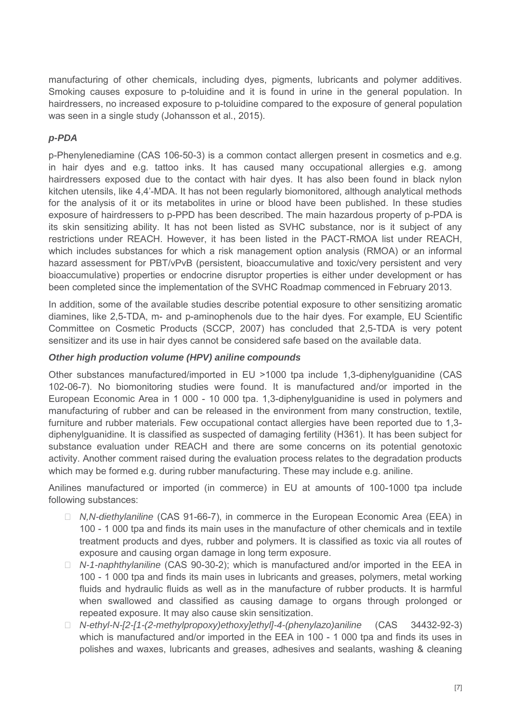manufacturing of other chemicals, including dyes, pigments, lubricants and polymer additives. Smoking causes exposure to p-toluidine and it is found in urine in the general population. In hairdressers, no increased exposure to p-toluidine compared to the exposure of general population was seen in a single study (Johansson et al., 2015).

#### *p-PDA*

p-Phenylenediamine (CAS 106-50-3) is a common contact allergen present in cosmetics and e.g. in hair dyes and e.g. tattoo inks. It has caused many occupational allergies e.g. among hairdressers exposed due to the contact with hair dyes. It has also been found in black nylon kitchen utensils, like 4,4'-MDA. It has not been regularly biomonitored, although analytical methods for the analysis of it or its metabolites in urine or blood have been published. In these studies exposure of hairdressers to p-PPD has been described. The main hazardous property of p-PDA is its skin sensitizing ability. It has not been listed as SVHC substance, nor is it subject of any restrictions under REACH. However, it has been listed in the PACT-RMOA list under REACH, which includes substances for which a risk management option analysis (RMOA) or an informal hazard assessment for PBT/vPvB (persistent, bioaccumulative and toxic/very persistent and very bioaccumulative) properties or endocrine disruptor properties is either under development or has been completed since the implementation of the SVHC Roadmap commenced in February 2013.

In addition, some of the available studies describe potential exposure to other sensitizing aromatic diamines, like 2,5-TDA, m- and p-aminophenols due to the hair dyes. For example, EU Scientific Committee on Cosmetic Products (SCCP, 2007) has concluded that 2,5-TDA is very potent sensitizer and its use in hair dyes cannot be considered safe based on the available data.

#### *Other high production volume (HPV) aniline compounds*

Other substances manufactured/imported in EU >1000 tpa include 1,3-diphenylguanidine (CAS 102-06-7). No biomonitoring studies were found. It is manufactured and/or imported in the European Economic Area in 1 000 - 10 000 tpa. 1,3-diphenylguanidine is used in polymers and manufacturing of rubber and can be released in the environment from many construction, textile, furniture and rubber materials. Few occupational contact allergies have been reported due to 1,3 diphenylguanidine. It is classified as suspected of damaging fertility (H361). It has been subject for substance evaluation under REACH and there are some concerns on its potential genotoxic activity. Another comment raised during the evaluation process relates to the degradation products which may be formed e.g. during rubber manufacturing. These may include e.g. aniline.

Anilines manufactured or imported (in commerce) in EU at amounts of 100-1000 tpa include following substances:

- ▸ *N,N-diethylaniline* (CAS 91-66-7), in commerce in the European Economic Area (EEA) in 100 - 1 000 tpa and finds its main uses in the manufacture of other chemicals and in textile treatment products and dyes, rubber and polymers. It is classified as toxic via all routes of exposure and causing organ damage in long term exposure.
- ▸ *N-1-naphthylaniline* (CAS 90-30-2); which is manufactured and/or imported in the EEA in 100 - 1 000 tpa and finds its main uses in lubricants and greases, polymers, metal working fluids and hydraulic fluids as well as in the manufacture of rubber products. It is harmful when swallowed and classified as causing damage to organs through prolonged or repeated exposure. It may also cause skin sensitization.
- ▸ *N-ethyl-N-[2-[1-(2-methylpropoxy)ethoxy]ethyl]-4-(phenylazo)aniline* (CAS 34432-92-3) which is manufactured and/or imported in the EEA in 100 - 1 000 tpa and finds its uses in polishes and waxes, lubricants and greases, adhesives and sealants, washing & cleaning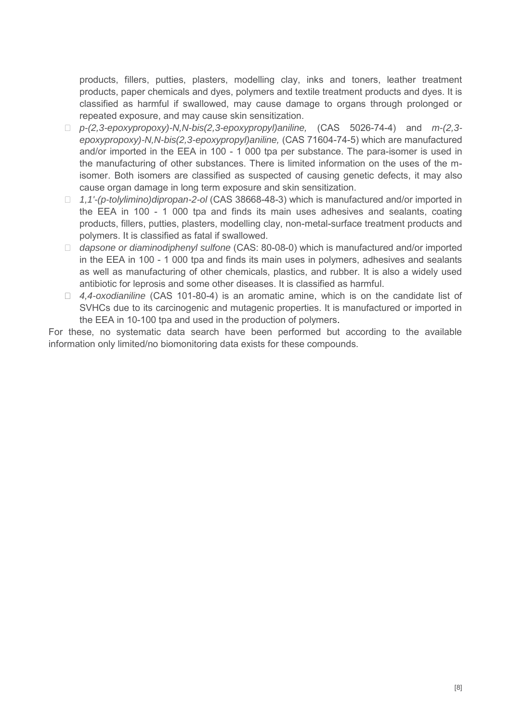products, fillers, putties, plasters, modelling clay, inks and toners, leather treatment products, paper chemicals and dyes, polymers and textile treatment products and dyes. It is classified as harmful if swallowed, may cause damage to organs through prolonged or repeated exposure, and may cause skin sensitization.

- ▸ *p-(2,3-epoxypropoxy)-N,N-bis(2,3-epoxypropyl)aniline,* (CAS 5026-74-4) and *m-(2,3 epoxypropoxy)-N,N-bis(2,3-epoxypropyl)aniline,* (CAS 71604-74-5) which are manufactured and/or imported in the EEA in 100 - 1 000 tpa per substance. The para-isomer is used in the manufacturing of other substances. There is limited information on the uses of the misomer. Both isomers are classified as suspected of causing genetic defects, it may also cause organ damage in long term exposure and skin sensitization.
- ▸ *1,1'-(p-tolylimino)dipropan-2-ol* (CAS 38668-48-3) which is manufactured and/or imported in the EEA in 100 - 1 000 tpa and finds its main uses adhesives and sealants, coating products, fillers, putties, plasters, modelling clay, non-metal-surface treatment products and polymers. It is classified as fatal if swallowed.
- ▸ *dapsone or diaminodiphenyl sulfone* (CAS: 80-08-0) which is manufactured and/or imported in the EEA in 100 - 1 000 tpa and finds its main uses in polymers, adhesives and sealants as well as manufacturing of other chemicals, plastics, and rubber. It is also a widely used antibiotic for leprosis and some other diseases. It is classified as harmful.
- ▸ *4,4-oxodianiline* (CAS 101-80-4) is an aromatic amine, which is on the candidate list of SVHCs due to its carcinogenic and mutagenic properties. It is manufactured or imported in the EEA in 10-100 tpa and used in the production of polymers.

For these, no systematic data search have been performed but according to the available information only limited/no biomonitoring data exists for these compounds.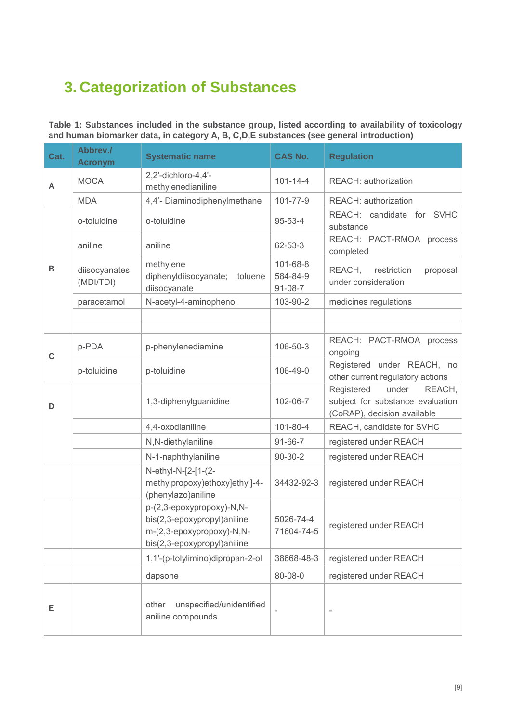## <span id="page-9-0"></span>**3. Categorization of Substances**

**Table 1: Substances included in the substance group, listed according to availability of toxicology and human biomarker data, in category A, B, C,D,E substances (see general introduction)**

<span id="page-9-1"></span>

| Cat.        | Abbrev./<br><b>Acronym</b> | <b>Systematic name</b>                                                                                               | <b>CAS No.</b>                        | <b>Regulation</b>                                                                                |
|-------------|----------------------------|----------------------------------------------------------------------------------------------------------------------|---------------------------------------|--------------------------------------------------------------------------------------------------|
| A           | <b>MOCA</b>                | 2,2'-dichloro-4,4'-<br>methylenedianiline                                                                            | $101 - 14 - 4$                        | REACH: authorization                                                                             |
|             | <b>MDA</b>                 | 4,4'- Diaminodiphenylmethane                                                                                         | 101-77-9                              | REACH: authorization                                                                             |
|             | o-toluidine                | o-toluidine                                                                                                          | $95 - 53 - 4$                         | REACH: candidate for SVHC<br>substance                                                           |
|             | aniline                    | aniline                                                                                                              | 62-53-3                               | REACH: PACT-RMOA process<br>completed                                                            |
| B           | diisocyanates<br>(MDI/TDI) | methylene<br>diphenyldiisocyanate; toluene<br>diisocyanate                                                           | 101-68-8<br>584-84-9<br>$91 - 08 - 7$ | REACH,<br>restriction<br>proposal<br>under consideration                                         |
|             | paracetamol                | N-acetyl-4-aminophenol                                                                                               | 103-90-2                              | medicines regulations                                                                            |
|             |                            |                                                                                                                      |                                       |                                                                                                  |
|             |                            |                                                                                                                      |                                       |                                                                                                  |
| $\mathbf C$ | p-PDA                      | p-phenylenediamine                                                                                                   | 106-50-3                              | REACH: PACT-RMOA process<br>ongoing                                                              |
|             | p-toluidine                | p-toluidine                                                                                                          | 106-49-0                              | Registered under REACH, no<br>other current regulatory actions                                   |
| D           |                            | 1,3-diphenylguanidine                                                                                                | 102-06-7                              | under<br>Registered<br>REACH,<br>subject for substance evaluation<br>(CoRAP), decision available |
|             |                            | 4,4-oxodianiline                                                                                                     | 101-80-4                              | REACH, candidate for SVHC                                                                        |
|             |                            | N,N-diethylaniline                                                                                                   | $91 - 66 - 7$                         | registered under REACH                                                                           |
|             |                            | N-1-naphthylaniline                                                                                                  | $90 - 30 - 2$                         | registered under REACH                                                                           |
|             |                            | N-ethyl-N-[2-[1-(2-<br>methylpropoxy)ethoxy]ethyl]-4-<br>(phenylazo)aniline                                          | 34432-92-3                            | registered under REACH                                                                           |
|             |                            | p-(2,3-epoxypropoxy)-N,N-<br>bis(2,3-epoxypropyl)aniline<br>m-(2,3-epoxypropoxy)-N,N-<br>bis(2,3-epoxypropyl)aniline | 5026-74-4<br>71604-74-5               | registered under REACH                                                                           |
|             |                            | 1,1'-(p-tolylimino)dipropan-2-ol                                                                                     | 38668-48-3                            | registered under REACH                                                                           |
|             |                            | dapsone                                                                                                              | 80-08-0                               | registered under REACH                                                                           |
| E           |                            | unspecified/unidentified<br>other<br>aniline compounds                                                               | $\overline{\phantom{a}}$              |                                                                                                  |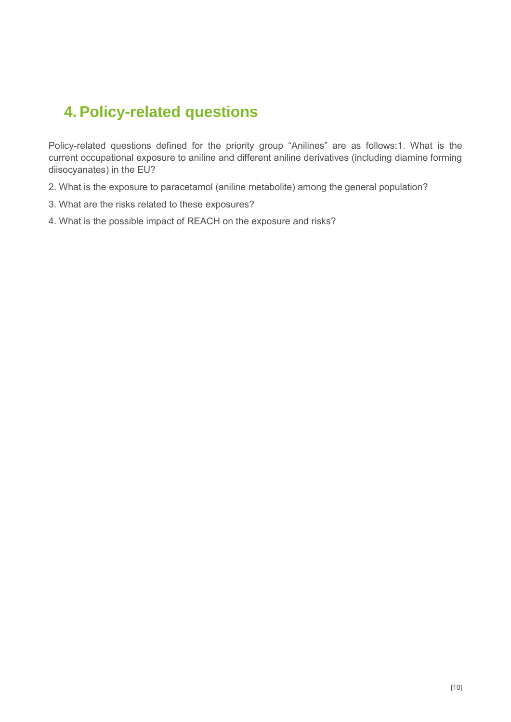### **4. Policy-related questions**

Policy-related questions defined for the priority group "Anilines" are as follows:1. What is the current occupational exposure to aniline and different aniline derivatives (including diamine forming diisocyanates) in the EU?

- 2. What is the exposure to paracetamol (aniline metabolite) among the general population?
- 3. What are the risks related to these exposures?
- 4. What is the possible impact of REACH on the exposure and risks?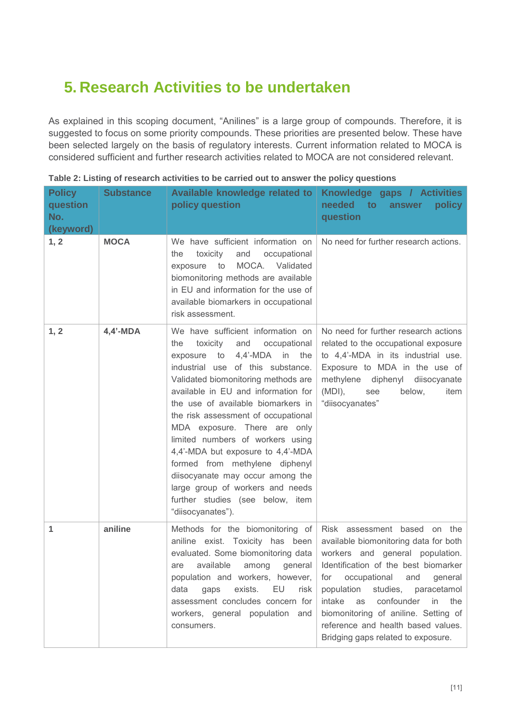### <span id="page-11-0"></span>**5. Research Activities to be undertaken**

As explained in this scoping document, "Anilines" is a large group of compounds. Therefore, it is suggested to focus on some priority compounds. These priorities are presented below. These have been selected largely on the basis of regulatory interests. Current information related to MOCA is considered sufficient and further research activities related to MOCA are not considered relevant.

| <b>Policy</b><br>question<br>No.<br>(keyword) | <b>Substance</b> | Available knowledge related to<br>policy question                                                                                                                                                                                                                                                                                                                                                                                                                                                                                                                                               | Knowledge gaps / Activities<br>needed<br>$\overline{\mathbf{f}}$<br>policy<br>answer<br>question                                                                                                                                                                                                                                                                                         |
|-----------------------------------------------|------------------|-------------------------------------------------------------------------------------------------------------------------------------------------------------------------------------------------------------------------------------------------------------------------------------------------------------------------------------------------------------------------------------------------------------------------------------------------------------------------------------------------------------------------------------------------------------------------------------------------|------------------------------------------------------------------------------------------------------------------------------------------------------------------------------------------------------------------------------------------------------------------------------------------------------------------------------------------------------------------------------------------|
| 1, 2                                          | <b>MOCA</b>      | We have sufficient information on<br>toxicity<br>and<br>occupational<br>the<br>MOCA. Validated<br>to<br>exposure<br>biomonitoring methods are available<br>in EU and information for the use of<br>available biomarkers in occupational<br>risk assessment.                                                                                                                                                                                                                                                                                                                                     | No need for further research actions.                                                                                                                                                                                                                                                                                                                                                    |
| 1, 2                                          | $4,4'$ -MDA      | We have sufficient information on<br>the<br>toxicity<br>and<br>occupational<br>4,4'-MDA in<br>exposure<br>to<br>the<br>industrial use of this substance.<br>Validated biomonitoring methods are<br>available in EU and information for<br>the use of available biomarkers in<br>the risk assessment of occupational<br>MDA exposure. There are only<br>limited numbers of workers using<br>4,4'-MDA but exposure to 4,4'-MDA<br>formed from methylene diphenyl<br>diisocyanate may occur among the<br>large group of workers and needs<br>further studies (see below, item<br>"diisocyanates"). | No need for further research actions<br>related to the occupational exposure<br>to 4,4'-MDA in its industrial use.<br>Exposure to MDA in the use of<br>methylene diphenyl<br>diisocyanate<br>$(MDI)$ ,<br>below,<br>see<br>item<br>"diisocyanates"                                                                                                                                       |
| 1                                             | aniline          | Methods for the biomonitoring of<br>aniline exist. Toxicity has been<br>evaluated. Some biomonitoring data<br>available<br>are<br>among<br>general<br>population and workers, however,<br>EU<br>exists.<br>data<br>gaps<br>risk<br>assessment concludes concern for<br>workers, general population and<br>consumers.                                                                                                                                                                                                                                                                            | Risk assessment based on the<br>available biomonitoring data for both<br>workers and general population.<br>Identification of the best biomarker<br>for occupational<br>and<br>general<br>population studies, paracetamol<br>confounder<br>intake<br>in<br>the<br>as<br>biomonitoring of aniline. Setting of<br>reference and health based values.<br>Bridging gaps related to exposure. |

| Table 2: Listing of research activities to be carried out to answer the policy questions |  |  |  |
|------------------------------------------------------------------------------------------|--|--|--|
|------------------------------------------------------------------------------------------|--|--|--|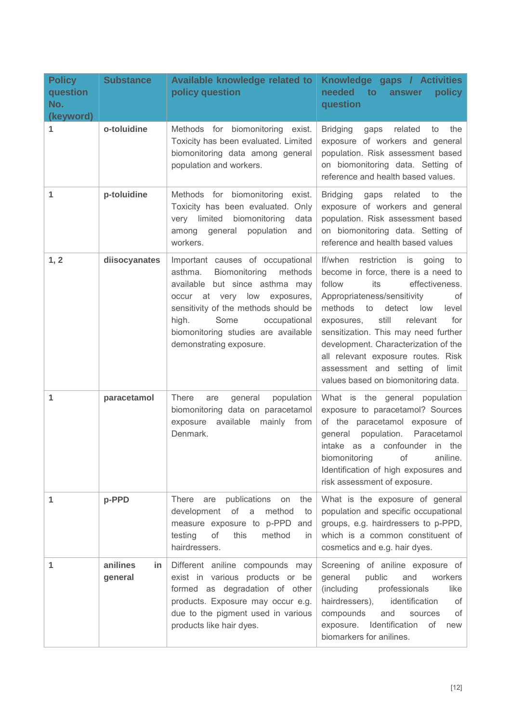| <b>Policy</b><br>question<br>No.<br>(keyword) | <b>Substance</b>          | Available knowledge related to<br>policy question                                                                                                                                                                                                                                    | Knowledge gaps / Activities<br>needed<br>$\overline{\mathbf{f}}$<br>policy<br>answer<br>question                                                                                                                                                                                                                                                                                                                                          |
|-----------------------------------------------|---------------------------|--------------------------------------------------------------------------------------------------------------------------------------------------------------------------------------------------------------------------------------------------------------------------------------|-------------------------------------------------------------------------------------------------------------------------------------------------------------------------------------------------------------------------------------------------------------------------------------------------------------------------------------------------------------------------------------------------------------------------------------------|
| 1                                             | o-toluidine               | Methods for biomonitoring exist.<br>Toxicity has been evaluated. Limited<br>biomonitoring data among general<br>population and workers.                                                                                                                                              | <b>Bridging</b><br>gaps<br>related<br>the<br>to<br>exposure of workers and general<br>population. Risk assessment based<br>on biomonitoring data. Setting of<br>reference and health based values.                                                                                                                                                                                                                                        |
| 1                                             | p-toluidine               | Methods for biomonitoring<br>exist.<br>Toxicity has been evaluated. Only<br>very limited<br>biomonitoring<br>data<br>population<br>among general<br>and<br>workers.                                                                                                                  | <b>Bridging</b><br>related<br>to<br>the<br>gaps<br>exposure of workers and general<br>population. Risk assessment based<br>on biomonitoring data. Setting of<br>reference and health based values                                                                                                                                                                                                                                         |
| 1, 2                                          | diisocyanates             | Important causes of occupational<br>Biomonitoring<br>asthma.<br>methods<br>available but since asthma may<br>occur at very low exposures,<br>sensitivity of the methods should be<br>high.<br>Some<br>occupational<br>biomonitoring studies are available<br>demonstrating exposure. | If/when<br>restriction is going<br>to<br>become in force, there is a need to<br>its<br>follow<br>effectiveness.<br>Appropriateness/sensitivity<br>of<br>methods<br>to<br>detect<br>low<br>level<br>still<br>exposures,<br>relevant<br>for<br>sensitization. This may need further<br>development. Characterization of the<br>all relevant exposure routes. Risk<br>assessment and setting of limit<br>values based on biomonitoring data. |
| 1                                             | paracetamol               | population<br><b>There</b><br>general<br>are<br>biomonitoring data on paracetamol<br>available mainly from<br>exposure<br>Denmark.                                                                                                                                                   | What is the general population<br>exposure to paracetamol? Sources<br>of the paracetamol exposure of<br>population.<br>Paracetamol<br>general<br>intake as a confounder in the<br>aniline.<br>biomonitoring<br>of<br>Identification of high exposures and<br>risk assessment of exposure.                                                                                                                                                 |
| 1                                             | p-PPD                     | There<br>publications<br>the<br>are<br>on<br>development<br>of<br>method<br>a<br>to<br>measure exposure to p-PPD and<br>of<br>testing<br>this<br>method<br>in<br>hairdressers.                                                                                                       | What is the exposure of general<br>population and specific occupational<br>groups, e.g. hairdressers to p-PPD,<br>which is a common constituent of<br>cosmetics and e.g. hair dyes.                                                                                                                                                                                                                                                       |
| 1                                             | anilines<br>in<br>general | Different aniline compounds may<br>exist in various products or be<br>formed as degradation of other<br>products. Exposure may occur e.g.<br>due to the pigment used in various<br>products like hair dyes.                                                                          | Screening of aniline exposure of<br>general<br>public<br>and<br>workers<br>(including<br>professionals<br>like<br>identification<br>hairdressers),<br>of<br>compounds<br>of<br>and<br>sources<br>Identification<br>exposure.<br>of<br>new<br>biomarkers for anilines.                                                                                                                                                                     |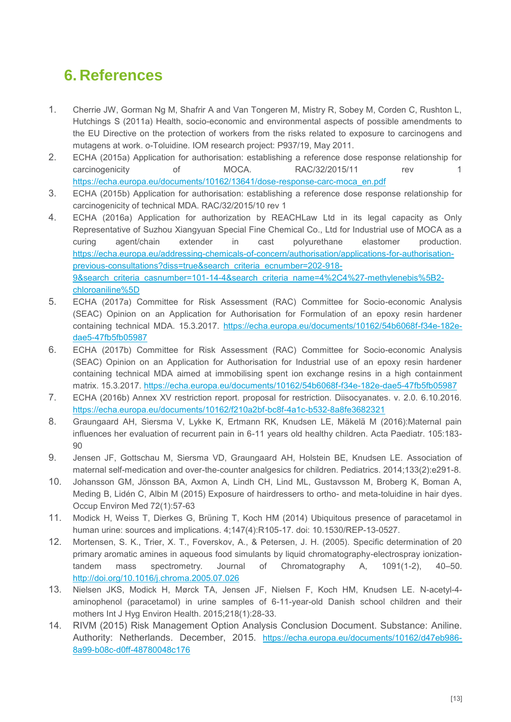### **6. References**

- 1. Cherrie JW, Gorman Ng M, Shafrir A and Van Tongeren M, Mistry R, Sobey M, Corden C, Rushton L, Hutchings S (2011a) Health, socio-economic and environmental aspects of possible amendments to the EU Directive on the protection of workers from the risks related to exposure to carcinogens and mutagens at work. o-Toluidine. IOM research project: P937/19, May 2011.
- 2. ECHA (2015a) Application for authorisation: establishing a reference dose response relationship for carcinogenicity of MOCA. RAC/32/2015/11 rev 1 [https://echa.europa.eu/documents/10162/13641/dose-response-carc-moca\\_en.pdf](https://echa.europa.eu/documents/10162/13641/dose-response-carc-moca_en.pdf)
- 3. ECHA (2015b) Application for authorisation: establishing a reference dose response relationship for carcinogenicity of technical MDA. RAC/32/2015/10 rev 1
- 4. ECHA (2016a) Application for authorization by REACHLaw Ltd in its legal capacity as Only Representative of Suzhou Xiangyuan Special Fine Chemical Co., Ltd for Industrial use of MOCA as a curing agent/chain extender in cast polyurethane elastomer production. [https://echa.europa.eu/addressing-chemicals-of-concern/authorisation/applications-for-authorisation](https://echa.europa.eu/addressing-chemicals-of-concern/authorisation/applications-for-authorisation-previous-consultations?diss=true&search_criteria_ecnumber=202-918-9&search_criteria_casnumber=101-14-4&search_criteria_name=4%2C4%27-methylenebis%5B2-chloroaniline%5D)[previous-consultations?diss=true&search\\_criteria\\_ecnumber=202-918-](https://echa.europa.eu/addressing-chemicals-of-concern/authorisation/applications-for-authorisation-previous-consultations?diss=true&search_criteria_ecnumber=202-918-9&search_criteria_casnumber=101-14-4&search_criteria_name=4%2C4%27-methylenebis%5B2-chloroaniline%5D) [9&search\\_criteria\\_casnumber=101-14-4&search\\_criteria\\_name=4%2C4%27-methylenebis%5B2](https://echa.europa.eu/addressing-chemicals-of-concern/authorisation/applications-for-authorisation-previous-consultations?diss=true&search_criteria_ecnumber=202-918-9&search_criteria_casnumber=101-14-4&search_criteria_name=4%2C4%27-methylenebis%5B2-chloroaniline%5D) [chloroaniline%5D](https://echa.europa.eu/addressing-chemicals-of-concern/authorisation/applications-for-authorisation-previous-consultations?diss=true&search_criteria_ecnumber=202-918-9&search_criteria_casnumber=101-14-4&search_criteria_name=4%2C4%27-methylenebis%5B2-chloroaniline%5D)
- 5. ECHA (2017a) Committee for Risk Assessment (RAC) Committee for Socio-economic Analysis (SEAC) Opinion on an Application for Authorisation for Formulation of an epoxy resin hardener containing technical MDA. 15.3.2017. [https://echa.europa.eu/documents/10162/54b6068f-f34e-182e](https://echa.europa.eu/documents/10162/54b6068f-f34e-182e-dae5-47fb5fb05987)[dae5-47fb5fb05987](https://echa.europa.eu/documents/10162/54b6068f-f34e-182e-dae5-47fb5fb05987)
- 6. ECHA (2017b) Committee for Risk Assessment (RAC) Committee for Socio-economic Analysis (SEAC) Opinion on an Application for Authorisation for Industrial use of an epoxy resin hardener containing technical MDA aimed at immobilising spent ion exchange resins in a high containment matrix. 15.3.2017.<https://echa.europa.eu/documents/10162/54b6068f-f34e-182e-dae5-47fb5fb05987>
- 7. ECHA (2016b) Annex XV restriction report. proposal for restriction. Diisocyanates. v. 2.0. 6.10.2016. <https://echa.europa.eu/documents/10162/f210a2bf-bc8f-4a1c-b532-8a8fe3682321>
- 8. Graungaard AH, Siersma V, Lykke K, Ertmann RK, Knudsen LE, Mäkelä M (2016):Maternal pain influences her evaluation of recurrent pain in 6-11 years old healthy children. Acta Paediatr. 105:183- 90
- 9. Jensen JF, Gottschau M, Siersma VD, Graungaard AH, Holstein BE, Knudsen LE. Association of maternal self-medication and over-the-counter analgesics for children. Pediatrics. 2014;133(2):e291-8.
- 10. Johansson GM, Jönsson BA, Axmon A, Lindh CH, Lind ML, Gustavsson M, Broberg K, Boman A, Meding B, Lidén C, Albin M (2015) Exposure of hairdressers to ortho- and meta-toluidine in hair dyes. Occup Environ Med 72(1):57-63
- 11. Modick H, Weiss T, Dierkes G, Brüning T, Koch HM (2014) Ubiquitous presence of paracetamol in human urine: sources and implications. 4;147(4):R105-17. doi: 10.1530/REP-13-0527.
- 12. Mortensen, S. K., Trier, X. T., Foverskov, A., & Petersen, J. H. (2005). Specific determination of 20 primary aromatic amines in aqueous food simulants by liquid chromatography-electrospray ionizationtandem mass spectrometry. Journal of Chromatography A, 1091(1-2), 40–50. <http://doi.org/10.1016/j.chroma.2005.07.026>
- 13. Nielsen JKS, Modick H, Mørck TA, Jensen JF, Nielsen F, Koch HM, Knudsen LE. N-acetyl-4 aminophenol (paracetamol) in urine samples of 6-11-year-old Danish school children and their mothers Int J Hyg Environ Health. 2015;218(1):28-33.
- 14. RIVM (2015) Risk Management Option Analysis Conclusion Document. Substance: Aniline. Authority: Netherlands. December, 2015. [https://echa.europa.eu/documents/10162/d47eb986-](https://echa.europa.eu/documents/10162/d47eb986-8a99-b08c-d0ff-48780048c176) [8a99-b08c-d0ff-48780048c176](https://echa.europa.eu/documents/10162/d47eb986-8a99-b08c-d0ff-48780048c176)